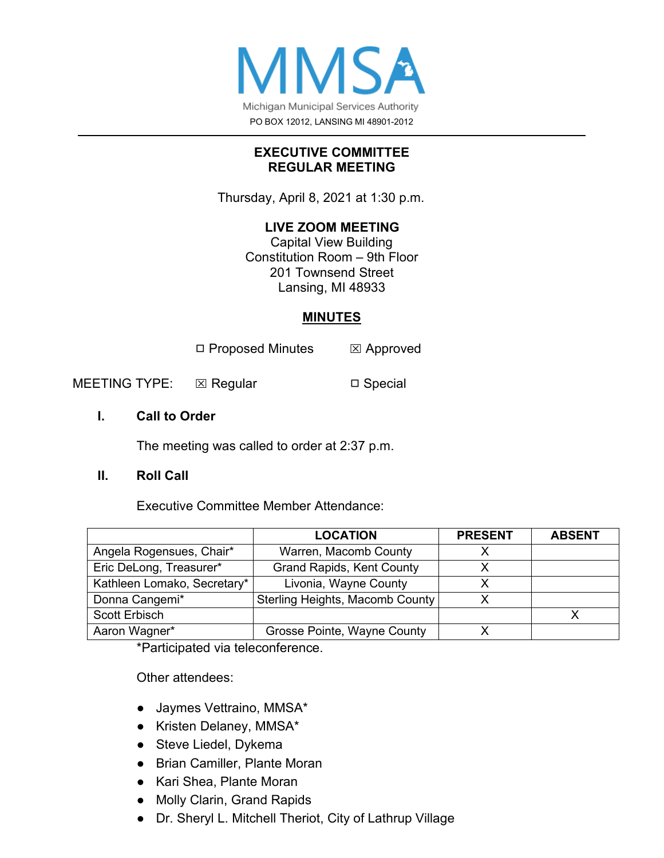

## **EXECUTIVE COMMITTEE REGULAR MEETING**

Thursday, April 8, 2021 at 1:30 p.m.

# **LIVE ZOOM MEETING**

Capital View Building Constitution Room – 9th Floor 201 Townsend Street Lansing, MI 48933

# **MINUTES**

◻ Proposed Minutes ⌧ Approved

MEETING TYPE: ⊠ Regular □ Special

## **I. Call to Order**

The meeting was called to order at 2:37 p.m.

## **II. Roll Call**

Executive Committee Member Attendance:

|                             | <b>LOCATION</b>                  | <b>PRESENT</b> | <b>ABSENT</b> |
|-----------------------------|----------------------------------|----------------|---------------|
| Angela Rogensues, Chair*    | Warren, Macomb County            |                |               |
| Eric DeLong, Treasurer*     | <b>Grand Rapids, Kent County</b> |                |               |
| Kathleen Lomako, Secretary* | Livonia, Wayne County            |                |               |
| Donna Cangemi*              | Sterling Heights, Macomb County  |                |               |
| Scott Erbisch               |                                  |                |               |
| Aaron Wagner*               | Grosse Pointe, Wayne County      |                |               |

\*Participated via teleconference.

Other attendees:

- Jaymes Vettraino, MMSA\*
- Kristen Delaney, MMSA\*
- Steve Liedel, Dykema
- Brian Camiller, Plante Moran
- Kari Shea, Plante Moran
- Molly Clarin, Grand Rapids
- Dr. Sheryl L. Mitchell Theriot, City of Lathrup Village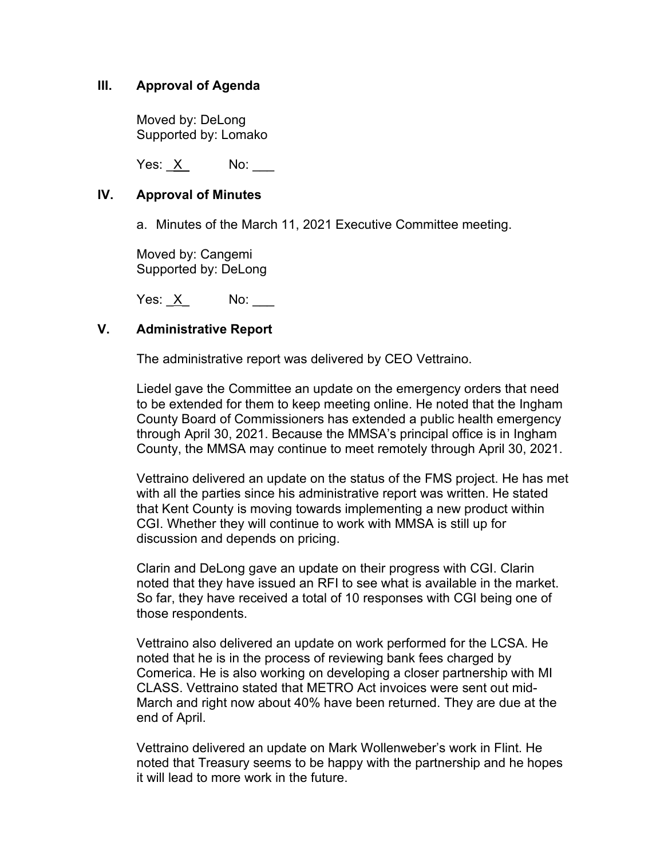## **III. Approval of Agenda**

Moved by: DeLong Supported by: Lomako

Yes: X No:

#### **IV. Approval of Minutes**

a. Minutes of the March 11, 2021 Executive Committee meeting.

Moved by: Cangemi Supported by: DeLong

Yes:  $X$  No:

## **V. Administrative Report**

The administrative report was delivered by CEO Vettraino.

Liedel gave the Committee an update on the emergency orders that need to be extended for them to keep meeting online. He noted that the Ingham County Board of Commissioners has extended a public health emergency through April 30, 2021. Because the MMSA's principal office is in Ingham County, the MMSA may continue to meet remotely through April 30, 2021.

Vettraino delivered an update on the status of the FMS project. He has met with all the parties since his administrative report was written. He stated that Kent County is moving towards implementing a new product within CGI. Whether they will continue to work with MMSA is still up for discussion and depends on pricing.

Clarin and DeLong gave an update on their progress with CGI. Clarin noted that they have issued an RFI to see what is available in the market. So far, they have received a total of 10 responses with CGI being one of those respondents.

Vettraino also delivered an update on work performed for the LCSA. He noted that he is in the process of reviewing bank fees charged by Comerica. He is also working on developing a closer partnership with MI CLASS. Vettraino stated that METRO Act invoices were sent out mid-March and right now about 40% have been returned. They are due at the end of April.

Vettraino delivered an update on Mark Wollenweber's work in Flint. He noted that Treasury seems to be happy with the partnership and he hopes it will lead to more work in the future.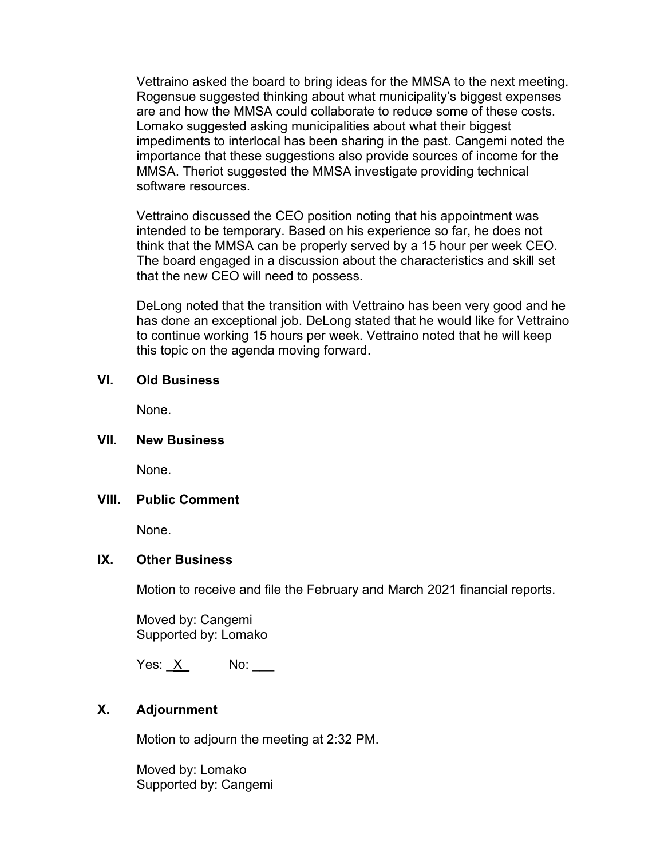Vettraino asked the board to bring ideas for the MMSA to the next meeting. Rogensue suggested thinking about what municipality's biggest expenses are and how the MMSA could collaborate to reduce some of these costs. Lomako suggested asking municipalities about what their biggest impediments to interlocal has been sharing in the past. Cangemi noted the importance that these suggestions also provide sources of income for the MMSA. Theriot suggested the MMSA investigate providing technical software resources.

Vettraino discussed the CEO position noting that his appointment was intended to be temporary. Based on his experience so far, he does not think that the MMSA can be properly served by a 15 hour per week CEO. The board engaged in a discussion about the characteristics and skill set that the new CEO will need to possess.

DeLong noted that the transition with Vettraino has been very good and he has done an exceptional job. DeLong stated that he would like for Vettraino to continue working 15 hours per week. Vettraino noted that he will keep this topic on the agenda moving forward.

#### **VI. Old Business**

None.

#### **VII. New Business**

None.

#### **VIII. Public Comment**

None.

#### **IX. Other Business**

Motion to receive and file the February and March 2021 financial reports.

Moved by: Cangemi Supported by: Lomako

Yes: <u>X</u> No:

## **X. Adjournment**

Motion to adjourn the meeting at 2:32 PM.

Moved by: Lomako Supported by: Cangemi